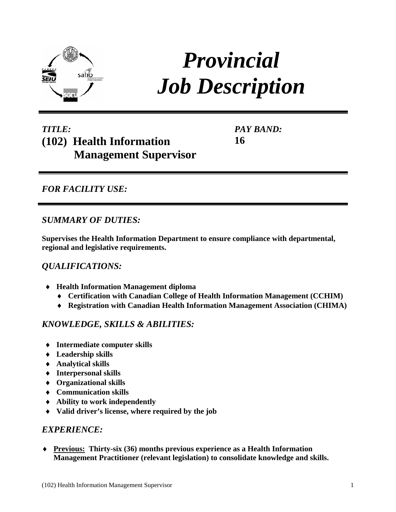

# *Provincial Job Description*

## *TITLE:* **(102) Health Information Management Supervisor**

*PAY BAND:* **16**

## *FOR FACILITY USE:*

## *SUMMARY OF DUTIES:*

**Supervises the Health Information Department to ensure compliance with departmental, regional and legislative requirements.**

## *QUALIFICATIONS:*

- ♦ **Health Information Management diploma** 
	- ♦ **Certification with Canadian College of Health Information Management (CCHIM)**
	- ♦ **Registration with Canadian Health Information Management Association (CHIMA)**

### *KNOWLEDGE, SKILLS & ABILITIES:*

- ♦ **Intermediate computer skills**
- ♦ **Leadership skills**
- ♦ **Analytical skills**
- ♦ **Interpersonal skills**
- ♦ **Organizational skills**
- ♦ **Communication skills**
- ♦ **Ability to work independently**
- ♦ **Valid driver's license, where required by the job**

#### *EXPERIENCE:*

♦ **Previous: Thirty-six (36) months previous experience as a Health Information Management Practitioner (relevant legislation) to consolidate knowledge and skills.**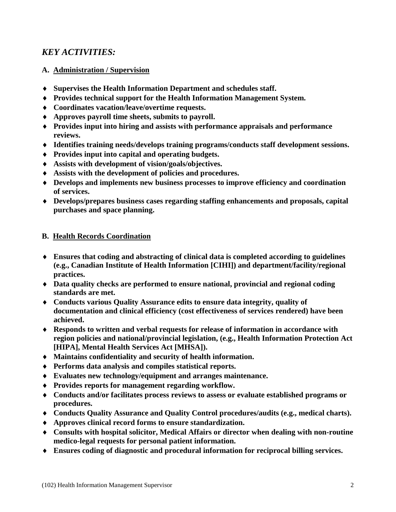## *KEY ACTIVITIES:*

#### **A. Administration / Supervision**

- ♦ **Supervises the Health Information Department and schedules staff.**
- ♦ **Provides technical support for the Health Information Management System.**
- ♦ **Coordinates vacation/leave/overtime requests.**
- ♦ **Approves payroll time sheets, submits to payroll.**
- ♦ **Provides input into hiring and assists with performance appraisals and performance reviews.**
- ♦ **Identifies training needs/develops training programs/conducts staff development sessions.**
- ♦ **Provides input into capital and operating budgets.**
- ♦ **Assists with development of vision/goals/objectives.**
- ♦ **Assists with the development of policies and procedures.**
- ♦ **Develops and implements new business processes to improve efficiency and coordination of services.**
- ♦ **Develops/prepares business cases regarding staffing enhancements and proposals, capital purchases and space planning.**

#### **B. Health Records Coordination**

- ♦ **Ensures that coding and abstracting of clinical data is completed according to guidelines (e.g., Canadian Institute of Health Information [CIHI]) and department/facility/regional practices.**
- ♦ **Data quality checks are performed to ensure national, provincial and regional coding standards are met.**
- ♦ **Conducts various Quality Assurance edits to ensure data integrity, quality of documentation and clinical efficiency (cost effectiveness of services rendered) have been achieved.**
- ♦ **Responds to written and verbal requests for release of information in accordance with region policies and national/provincial legislation, (e.g., Health Information Protection Act [HIPA], Mental Health Services Act [MHSA]).**
- ♦ **Maintains confidentiality and security of health information.**
- ♦ **Performs data analysis and compiles statistical reports.**
- ♦ **Evaluates new technology/equipment and arranges maintenance.**
- ♦ **Provides reports for management regarding workflow.**
- ♦ **Conducts and/or facilitates process reviews to assess or evaluate established programs or procedures.**
- ♦ **Conducts Quality Assurance and Quality Control procedures/audits (e.g., medical charts).**
- ♦ **Approves clinical record forms to ensure standardization.**
- ♦ **Consults with hospital solicitor, Medical Affairs or director when dealing with non-routine medico-legal requests for personal patient information.**
- ♦ **Ensures coding of diagnostic and procedural information for reciprocal billing services.**